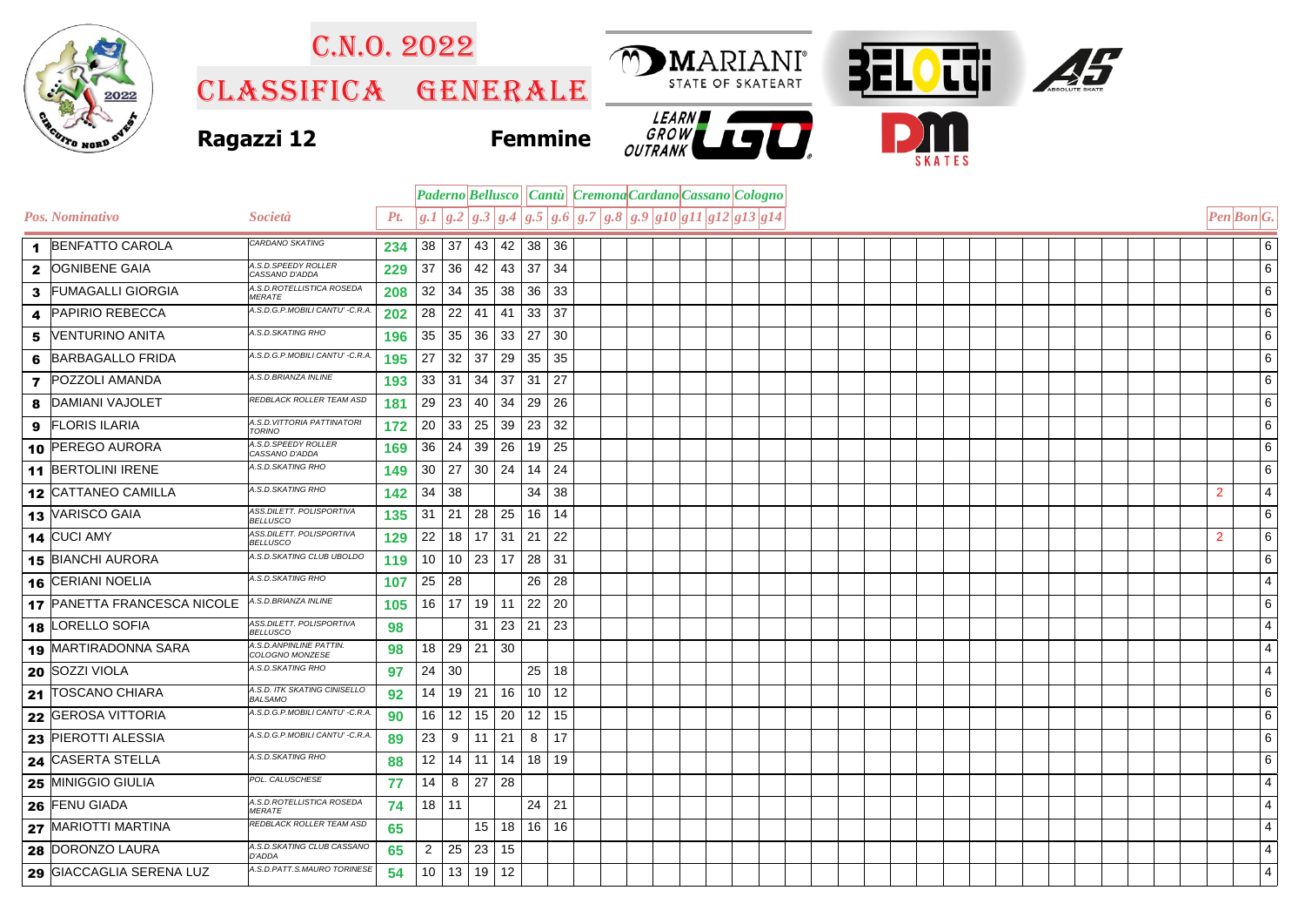